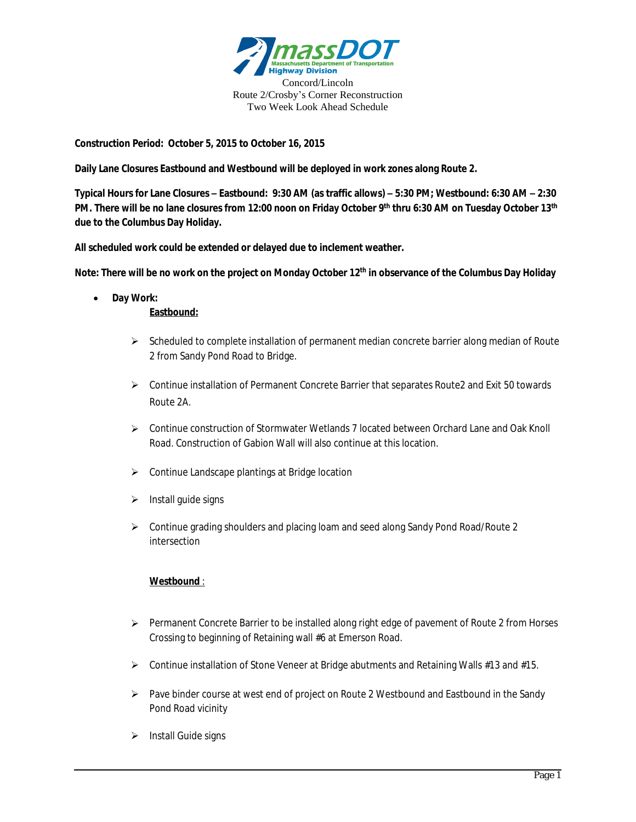

**Construction Period: October 5, 2015 to October 16, 2015**

**Daily Lane Closures Eastbound and Westbound will be deployed in work zones along Route 2.**

**Typical Hours for Lane Closures – Eastbound: 9:30 AM (as traffic allows) – 5:30 PM; Westbound: 6:30 AM – 2:30 PM. There will be no lane closures from 12:00 noon on Friday October 9th thru 6:30 AM on Tuesday October 13th due to the Columbus Day Holiday.**

**All scheduled work could be extended or delayed due to inclement weather.**

**Note: There will be no work on the project on Monday October 12th in observance of the Columbus Day Holiday**

- **Day Work: Eastbound:**
	- $\triangleright$  Scheduled to complete installation of permanent median concrete barrier along median of Route 2 from Sandy Pond Road to Bridge.
	- $\triangleright$  Continue installation of Permanent Concrete Barrier that separates Route2 and Exit 50 towards Route 2A.
	- Continue construction of Stormwater Wetlands 7 located between Orchard Lane and Oak Knoll Road. Construction of Gabion Wall will also continue at this location.
	- Continue Landscape plantings at Bridge location
	- $\triangleright$  Install guide signs
	- $\triangleright$  Continue grading shoulders and placing loam and seed along Sandy Pond Road/Route 2 intersection

## **Westbound** :

- $\triangleright$  Permanent Concrete Barrier to be installed along right edge of pavement of Route 2 from Horses Crossing to beginning of Retaining wall #6 at Emerson Road.
- $\triangleright$  Continue installation of Stone Veneer at Bridge abutments and Retaining Walls #13 and #15.
- $\triangleright$  Pave binder course at west end of project on Route 2 Westbound and Eastbound in the Sandy Pond Road vicinity
- $\triangleright$  Install Guide signs